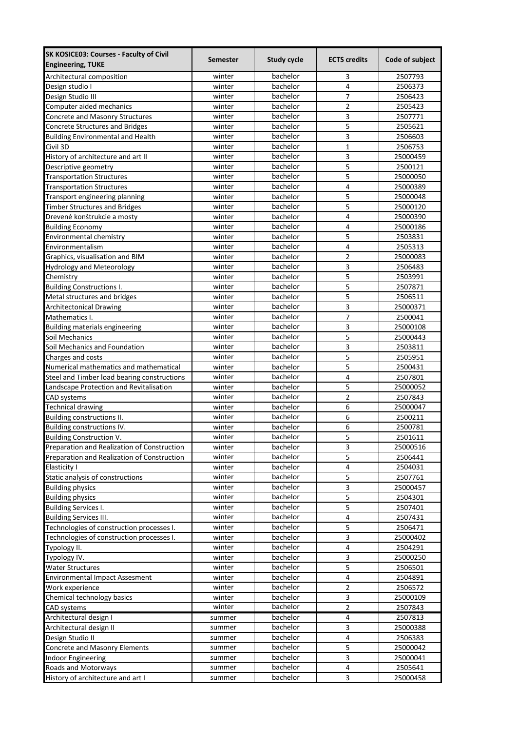| <b>SK KOSICE03: Courses - Faculty of Civil</b> | <b>Semester</b> | <b>Study cycle</b> | <b>ECTS credits</b>     | Code of subject |
|------------------------------------------------|-----------------|--------------------|-------------------------|-----------------|
| <b>Engineering, TUKE</b>                       |                 |                    |                         |                 |
| Architectural composition                      | winter          | bachelor           | 3                       | 2507793         |
| Design studio I                                | winter          | bachelor           | $\overline{\mathbf{4}}$ | 2506373         |
| Design Studio III                              | winter          | bachelor           | $\overline{7}$          | 2506423         |
| Computer aided mechanics                       | winter          | bachelor           | $\overline{2}$          | 2505423         |
| Concrete and Masonry Structures                | winter          | bachelor           | 3                       | 2507771         |
| <b>Concrete Structures and Bridges</b>         | winter          | bachelor           | 5                       | 2505621         |
| <b>Building Environmental and Health</b>       | winter          | bachelor           | 3                       | 2506603         |
| Civil 3D                                       | winter          | bachelor           | $\mathbf{1}$            | 2506753         |
| History of architecture and art II             | winter          | bachelor           | 3                       | 25000459        |
| Descriptive geometry                           | winter          | bachelor           | 5                       | 2500121         |
| <b>Transportation Structures</b>               | winter          | bachelor           | $\overline{5}$          | 25000050        |
| <b>Transportation Structures</b>               | winter          | bachelor           | 4                       | 25000389        |
| Transport engineering planning                 | winter          | bachelor           | 5                       | 25000048        |
| <b>Timber Structures and Bridges</b>           | winter          | bachelor           | 5                       | 25000120        |
| Drevené konštrukcie a mosty                    | winter          | bachelor           | 4                       | 25000390        |
| <b>Building Economy</b>                        | winter          | bachelor           | $\overline{4}$          | 25000186        |
| Environmental chemistry                        | winter          | bachelor           | 5                       | 2503831         |
| Environmentalism                               | winter          | bachelor           | 4                       | 2505313         |
| Graphics, visualisation and BIM                | winter          | bachelor           | $\overline{2}$          | 25000083        |
| <b>Hydrology and Meteorology</b>               | winter          | bachelor           | 3                       | 2506483         |
| Chemistry                                      | winter          | bachelor           | 5                       | 2503991         |
| <b>Building Constructions I.</b>               | winter          | bachelor           | 5                       | 2507871         |
| Metal structures and bridges                   | winter          | bachelor           | 5                       | 2506511         |
| <b>Architectonical Drawing</b>                 | winter          | bachelor           | 3                       | 25000371        |
| Mathematics I.                                 | winter          | bachelor           | $\overline{7}$          | 2500041         |
| Building materials engineering                 | winter          | bachelor           | 3                       | 25000108        |
| Soil Mechanics                                 | winter          | bachelor           | 5                       | 25000443        |
| Soil Mechanics and Foundation                  | winter          | bachelor           | 3                       | 2503811         |
| Charges and costs                              | winter          | bachelor           | 5                       | 2505951         |
| Numerical mathematics and mathematical         | winter          | bachelor           | 5                       | 2500431         |
| Steel and Timber load bearing constructions    | winter          | bachelor           | $\overline{4}$          | 2507801         |
| Landscape Protection and Revitalisation        | winter          | bachelor           | 5                       | 25000052        |
| CAD systems                                    | winter          | bachelor           | $\overline{2}$          | 2507843         |
| <b>Technical drawing</b>                       | winter          | bachelor           | 6                       | 25000047        |
| Building constructions II.                     | winter          | bachelor           | 6                       | 2500211         |
| Building constructions IV.                     | winter          | bachelor           | 6                       | 2500781         |
| <b>Building Construction V.</b>                | winter          | bachelor           | 5                       | 2501611         |
| Preparation and Realization of Construction    | winter          | bachelor           | 3                       | 25000516        |
| Preparation and Realization of Construction    | winter          | bachelor           | 5                       | 2506441         |
| Elasticity I                                   | winter          | bachelor           | $\overline{4}$          | 2504031         |
| Static analysis of constructions               | winter          | bachelor           | 5                       | 2507761         |
| <b>Building physics</b>                        | winter          | bachelor           | 3                       | 25000457        |
| <b>Building physics</b>                        | winter          | bachelor           | 5                       | 2504301         |
| <b>Building Services I.</b>                    | winter          | bachelor           | 5                       | 2507401         |
| <b>Building Services III.</b>                  | winter          | bachelor           | $\overline{\mathbf{4}}$ | 2507431         |
| Technologies of construction processes I.      | winter          | bachelor           | 5                       | 2506471         |
| Technologies of construction processes I.      | winter          | bachelor           | $\overline{3}$          | 25000402        |
| Typology II.                                   | winter          | bachelor           | $\overline{4}$          | 2504291         |
| Typology IV.                                   | winter          | bachelor           | 3                       | 25000250        |
| <b>Water Structures</b>                        | winter          | bachelor           | 5                       | 2506501         |
| <b>Environmental Impact Assesment</b>          | winter          | bachelor           | $\overline{\mathbf{4}}$ | 2504891         |
| Work experience                                | winter          | bachelor           | $\mathbf 2$             | 2506572         |
| Chemical technology basics                     | winter          | bachelor           | $\mathsf 3$             | 25000109        |
| CAD systems                                    | winter          | bachelor           | $\mathbf 2$             | 2507843         |
| Architectural design I                         | summer          | bachelor           | 4                       | 2507813         |
| Architectural design II                        | summer          | bachelor           | 3                       | 25000388        |
| Design Studio II                               | summer          | bachelor           | 4                       | 2506383         |
| Concrete and Masonry Elements                  | summer          | bachelor           | 5                       | 25000042        |
| Indoor Engineering                             | summer          | bachelor           | $\overline{\mathbf{3}}$ | 25000041        |
| Roads and Motorways                            | summer          | bachelor           | 4                       | 2505641         |
| History of architecture and art I              | summer          | bachelor           | 3                       | 25000458        |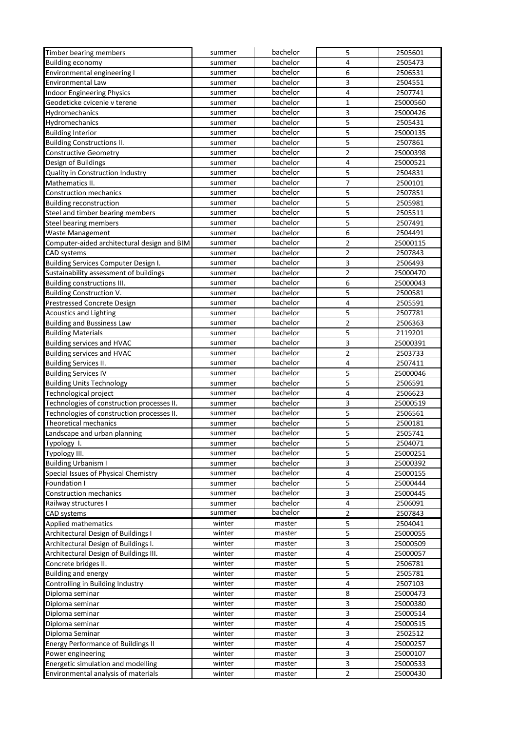| Timber bearing members                      | summer | bachelor | 5                       | 2505601  |
|---------------------------------------------|--------|----------|-------------------------|----------|
| <b>Building economy</b>                     | summer | bachelor | 4                       | 2505473  |
| Environmental engineering I                 | summer | bachelor | 6                       | 2506531  |
| Environmental Law                           | summer | bachelor | 3                       | 2504551  |
| <b>Indoor Engineering Physics</b>           | summer | bachelor | 4                       | 2507741  |
| Geodeticke cvicenie v terene                | summer | bachelor | 1                       | 25000560 |
| Hydromechanics                              | summer | bachelor | 3                       | 25000426 |
| Hydromechanics                              | summer | bachelor | 5                       | 2505431  |
| <b>Building Interior</b>                    | summer | bachelor | 5                       | 25000135 |
| <b>Building Constructions II.</b>           | summer | bachelor | 5                       | 2507861  |
| <b>Constructive Geometry</b>                | summer | bachelor | $\overline{2}$          | 25000398 |
| Design of Buildings                         | summer | bachelor | 4                       | 25000521 |
| <b>Quality in Construction Industry</b>     | summer | bachelor | 5                       | 2504831  |
| Mathematics II.                             | summer | bachelor | $\overline{7}$          | 2500101  |
| <b>Construction mechanics</b>               | summer | bachelor | 5                       | 2507851  |
| <b>Building reconstruction</b>              | summer | bachelor | 5                       | 2505981  |
| Steel and timber bearing members            | summer | bachelor | 5                       | 2505511  |
| Steel bearing members                       | summer | bachelor | 5                       | 2507491  |
| Waste Management                            | summer | bachelor | 6                       | 2504491  |
| Computer-aided architectural design and BIM | summer | bachelor | $\overline{2}$          | 25000115 |
| <b>CAD</b> systems                          | summer | bachelor | 2                       | 2507843  |
| Building Services Computer Design I.        | summer | bachelor | 3                       | 2506493  |
| Sustainability assessment of buildings      | summer | bachelor | $\mathbf 2$             | 25000470 |
| Building constructions III.                 | summer | bachelor | 6                       | 25000043 |
| <b>Building Construction V.</b>             | summer | bachelor | 5                       | 2500581  |
| Prestressed Concrete Design                 | summer | bachelor | 4                       | 2505591  |
| <b>Acoustics and Lighting</b>               | summer | bachelor | 5                       | 2507781  |
| <b>Building and Bussiness Law</b>           | summer | bachelor | $\overline{2}$          | 2506363  |
| <b>Building Materials</b>                   | summer | bachelor | 5                       | 2119201  |
| <b>Building services and HVAC</b>           | summer | bachelor | 3                       | 25000391 |
| <b>Building services and HVAC</b>           | summer | bachelor | $\overline{2}$          | 2503733  |
| <b>Building Services II.</b>                | summer | bachelor | 4                       | 2507411  |
| <b>Building Services IV</b>                 | summer | bachelor | 5                       | 25000046 |
| <b>Building Units Technology</b>            | summer | bachelor | 5                       | 2506591  |
| Technological project                       | summer | bachelor | 4                       | 2506623  |
| Technologies of construction processes II.  | summer | bachelor | 3                       | 25000519 |
| Technologies of construction processes II.  | summer | bachelor | 5                       | 2506561  |
| <b>Theoretical mechanics</b>                | summer | bachelor | 5                       | 2500181  |
| Landscape and urban planning                | summer | bachelor | 5                       | 2505741  |
| Typology I.                                 | summer | bachelor | 5                       | 2504071  |
| Typology III.                               | summer | bachelor | 5                       | 25000251 |
| <b>Building Urbanism I</b>                  | summer | bachelor | 3                       | 25000392 |
| Special Issues of Physical Chemistry        | summer | bachelor | 4                       | 25000155 |
| <b>Foundation I</b>                         | summer | bachelor | 5                       | 25000444 |
| <b>Construction mechanics</b>               | summer | bachelor | 3                       | 25000445 |
| Railway structures I                        | summer | bachelor | 4                       | 2506091  |
| <b>CAD</b> systems                          | summer | bachelor | $\overline{2}$          | 2507843  |
| Applied mathematics                         | winter | master   | 5                       | 2504041  |
| Architectural Design of Buildings I         | winter | master   | $\overline{\mathbf{5}}$ | 25000055 |
| Architectural Design of Buildings I.        | winter | master   | 3                       | 25000509 |
| Architectural Design of Buildings III.      | winter | master   | $\overline{\mathbf{4}}$ | 25000057 |
| Concrete bridges II.                        | winter | master   | 5                       | 2506781  |
| <b>Building and energy</b>                  | winter | master   | 5                       | 2505781  |
| Controlling in Building Industry            | winter | master   | 4                       | 2507103  |
| Diploma seminar                             | winter | master   | 8                       | 25000473 |
| Diploma seminar                             | winter | master   | 3                       | 25000380 |
| Diploma seminar                             | winter | master   | 3                       | 25000514 |
| Diploma seminar                             | winter | master   | $\overline{\mathbf{4}}$ | 25000515 |
| Diploma Seminar                             | winter | master   | 3                       | 2502512  |
| <b>Energy Performance of Buildings II</b>   | winter | master   | 4                       | 25000257 |
| Power engineering                           | winter | master   | 3                       | 25000107 |
| Energetic simulation and modelling          | winter | master   | $\overline{3}$          | 25000533 |
| Environmental analysis of materials         | winter | master   | $\overline{2}$          | 25000430 |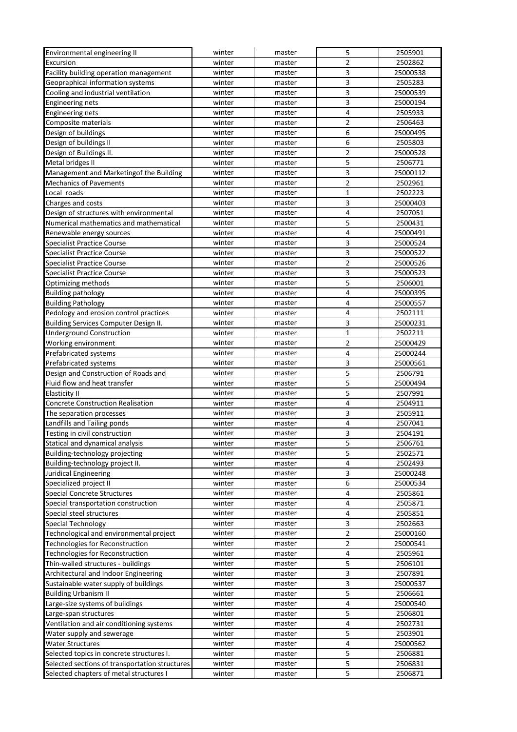| Environmental engineering II                   | winter | master | 5                       | 2505901  |
|------------------------------------------------|--------|--------|-------------------------|----------|
| Excursion                                      | winter | master | $\overline{2}$          | 2502862  |
| Facility building operation management         | winter | master | 3                       | 25000538 |
| Geopraphical information systems               | winter | master | 3                       | 2505283  |
| Cooling and industrial ventilation             | winter | master | $\overline{3}$          | 25000539 |
| <b>Engineering nets</b>                        | winter | master | 3                       | 25000194 |
| <b>Engineering nets</b>                        | winter | master | $\overline{\mathbf{4}}$ | 2505933  |
| Composite materials                            | winter | master | $\overline{2}$          | 2506463  |
| Design of buildings                            | winter | master | 6                       | 25000495 |
| Design of buildings II                         | winter | master | 6                       | 2505803  |
| Design of Buildings II.                        | winter | master | $\overline{2}$          | 25000528 |
| Metal bridges II                               | winter | master | 5                       | 2506771  |
| Management and Marketingof the Building        | winter | master | $\overline{3}$          | 25000112 |
| <b>Mechanics of Pavements</b>                  | winter | master | $\overline{2}$          | 2502961  |
| Local roads                                    | winter | master | $\mathbf 1$             | 2502223  |
| Charges and costs                              | winter | master | 3                       | 25000403 |
| Design of structures with environmental        | winter | master | $\overline{\mathbf{4}}$ | 2507051  |
| Numerical mathematics and mathematical         | winter | master | 5                       | 2500431  |
| Renewable energy sources                       | winter | master | $\overline{\mathbf{4}}$ | 25000491 |
| Specialist Practice Course                     | winter | master | 3                       | 25000524 |
| <b>Specialist Practice Course</b>              | winter | master | 3                       | 25000522 |
| <b>Specialist Practice Course</b>              | winter | master | 2                       | 25000526 |
| <b>Specialist Practice Course</b>              | winter | master | 3                       | 25000523 |
| Optimizing methods                             | winter | master | $\overline{\mathbf{5}}$ | 2506001  |
| <b>Building pathology</b>                      | winter | master | $\overline{\mathbf{4}}$ | 25000395 |
| <b>Building Pathology</b>                      | winter | master | $\overline{4}$          | 25000557 |
| Pedology and erosion control practices         | winter | master | 4                       | 2502111  |
| Building Services Computer Design II.          | winter | master | 3                       | 25000231 |
| <b>Underground Construction</b>                | winter | master | $\mathbf 1$             | 2502211  |
| Working environment                            | winter | master | $\overline{2}$          | 25000429 |
| Prefabricated systems                          | winter | master | $\overline{\mathbf{4}}$ | 25000244 |
| Prefabricated systems                          | winter | master | 3                       | 25000561 |
| Design and Construction of Roads and           | winter | master | 5                       | 2506791  |
| Fluid flow and heat transfer                   | winter | master | 5                       | 25000494 |
| Elasticity II                                  | winter | master | 5                       | 2507991  |
| <b>Concrete Construction Realisation</b>       | winter | master | $\overline{\mathbf{4}}$ | 2504911  |
| The separation processes                       | winter | master | 3                       | 2505911  |
| Landfills and Tailing ponds                    | winter | master | $\overline{\mathbf{4}}$ | 2507041  |
| Testing in civil construction                  | winter | master | 3                       | 2504191  |
| Statical and dynamical analysis                | winter | master | 5                       | 2506761  |
| Building-technology projecting                 | winter | master | 5                       | 2502571  |
| Building-technology project II.                | winter | master | $\overline{\mathbf{4}}$ | 2502493  |
| Juridical Engineering                          | winter | master | 3                       | 25000248 |
| Specialized project II                         | winter | master | 6                       | 25000534 |
| <b>Special Concrete Structures</b>             | winter | master | 4                       | 2505861  |
| Special transportation construction            | winter | master | $\overline{\mathbf{4}}$ | 2505871  |
| Special steel structures                       | winter | master | 4                       | 2505851  |
| Special Technology                             | winter | master | 3                       | 2502663  |
| Technological and environmental project        | winter | master | $\overline{2}$          | 25000160 |
|                                                | winter |        | $\mathbf 2$             |          |
| Technologies for Reconstruction                |        | master | $\pmb{4}$               | 25000541 |
| Technologies for Reconstruction                | winter | master | 5                       | 2505961  |
| Thin-walled structures - buildings             | winter | master |                         | 2506101  |
| Architectural and Indoor Engineering           | winter | master | 3                       | 2507891  |
| Sustainable water supply of buildings          | winter | master | 3                       | 25000537 |
| <b>Building Urbanism II</b>                    | winter | master | 5                       | 2506661  |
| Large-size systems of buildings                | winter | master | $\overline{\mathbf{4}}$ | 25000540 |
| Large-span structures                          | winter | master | 5                       | 2506801  |
| Ventilation and air conditioning systems       | winter | master | $\overline{\mathbf{4}}$ | 2502731  |
| Water supply and sewerage                      | winter | master | 5                       | 2503901  |
| Water Structures                               | winter | master | $\pmb{4}$               | 25000562 |
| Selected topics in concrete structures I.      | winter | master | 5                       | 2506881  |
| Selected sections of transportation structures | winter | master | $\overline{\mathbf{5}}$ | 2506831  |
| Selected chapters of metal structures I        | winter | master | $\overline{\mathbf{5}}$ | 2506871  |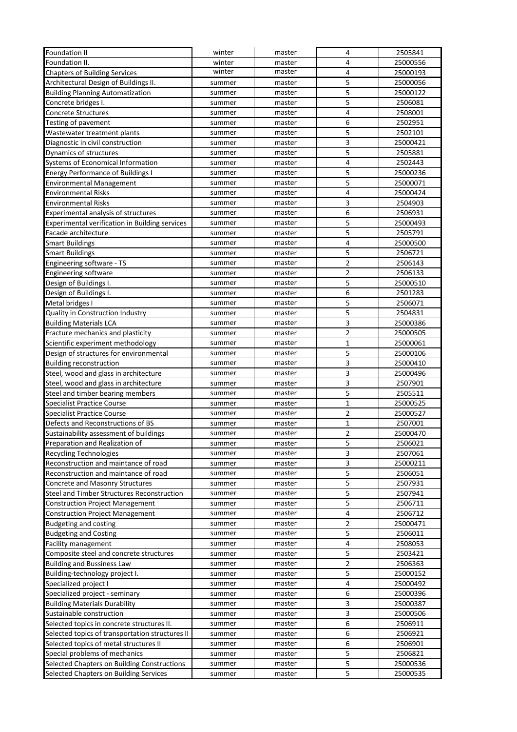| <b>Foundation II</b>                            | winter | master | $\overline{4}$          | 2505841  |
|-------------------------------------------------|--------|--------|-------------------------|----------|
| <b>Foundation II.</b>                           | winter | master | $\overline{4}$          | 25000556 |
| <b>Chapters of Building Services</b>            | winter | master | $\overline{4}$          | 25000193 |
| Architectural Design of Buildings II.           | summer | master | 5                       | 25000056 |
| <b>Building Planning Automatization</b>         | summer | master | 5                       | 25000122 |
| Concrete bridges I.                             | summer | master | 5                       | 2506081  |
| <b>Concrete Structures</b>                      | summer | master | $\overline{\mathbf{4}}$ | 2508001  |
| Testing of pavement                             | summer | master | 6                       | 2502951  |
| Wastewater treatment plants                     | summer | master | 5                       | 2502101  |
| Diagnostic in civil construction                | summer | master | $\mathsf{3}$            | 25000421 |
| Dynamics of structures                          | summer | master | 5                       | 2505881  |
| Systems of Economical Information               | summer | master | $\overline{\mathbf{4}}$ | 2502443  |
| <b>Energy Performance of Buildings I</b>        | summer | master | 5                       | 25000236 |
| <b>Environmental Management</b>                 | summer | master | 5                       | 25000071 |
| <b>Environmental Risks</b>                      | summer | master | $\overline{\mathbf{4}}$ | 25000424 |
| <b>Environmental Risks</b>                      | summer | master | 3                       | 2504903  |
| Experimental analysis of structures             | summer | master | 6                       | 2506931  |
| Experimental verification in Building services  | summer | master | 5                       | 25000493 |
| Facade architecture                             | summer | master | 5                       | 2505791  |
| <b>Smart Buildings</b>                          | summer | master | $\overline{4}$          | 25000500 |
| <b>Smart Buildings</b>                          | summer | master | 5                       | 2506721  |
| Engineering software - TS                       | summer | master | $\overline{2}$          | 2506143  |
| <b>Engineering software</b>                     | summer | master | $\overline{2}$          | 2506133  |
| Design of Buildings I.                          | summer | master | $\overline{5}$          | 25000510 |
| Design of Buildings I.                          | summer | master | 6                       | 2501283  |
| Metal bridges I                                 | summer | master | 5                       | 2506071  |
| Quality in Construction Industry                | summer | master | $\overline{5}$          | 2504831  |
| <b>Building Materials LCA</b>                   | summer | master | 3                       | 25000386 |
| Fracture mechanics and plasticity               | summer | master | $\mathbf 2$             | 25000505 |
| Scientific experiment methodology               | summer | master | $\mathbf{1}$            | 25000061 |
| Design of structures for environmental          | summer | master | 5                       | 25000106 |
| <b>Building reconstruction</b>                  | summer | master | 3                       | 25000410 |
| Steel, wood and glass in architecture           | summer | master | 3                       | 25000496 |
| Steel, wood and glass in architecture           | summer | master | 3                       | 2507901  |
| Steel and timber bearing members                | summer | master | 5                       | 2505511  |
| <b>Specialist Practice Course</b>               | summer | master | $\mathbf{1}$            | 25000525 |
| <b>Specialist Practice Course</b>               | summer | master | $\mathbf 2$             | 25000527 |
| Defects and Reconstructions of BS               | summer | master | $\mathbf 1$             | 2507001  |
| Sustainability assessment of buildings          | summer | master | $\overline{2}$          | 25000470 |
| Preparation and Realization of                  | summer | master | 5                       | 2506021  |
| <b>Recycling Technologies</b>                   | summer | master | 3                       | 2507061  |
| Reconstruction and maintance of road            | summer | master | 3                       | 25000211 |
| Reconstruction and maintance of road            | summer | master | 5                       | 2506051  |
| Concrete and Masonry Structures                 | summer | master | 5                       | 2507931  |
| Steel and Timber Structures Reconstruction      | summer | master | 5                       | 2507941  |
| <b>Construction Project Management</b>          | summer | master | 5                       | 2506711  |
| <b>Construction Project Management</b>          | summer | master | $\overline{4}$          | 2506712  |
| <b>Budgeting and costing</b>                    | summer | master | $\mathbf 2$             | 25000471 |
| <b>Budgeting and Costing</b>                    | summer | master | $\overline{\mathbf{5}}$ | 2506011  |
| Facility management                             | summer | master | $\pmb{4}$               | 2508053  |
| Composite steel and concrete structures         | summer | master | 5                       | 2503421  |
| <b>Building and Bussiness Law</b>               | summer | master | $\overline{2}$          | 2506363  |
| Building-technology project I.                  | summer | master | 5                       | 25000152 |
| Specialized project I                           | summer | master | $\overline{\mathbf{4}}$ | 25000492 |
| Specialized project - seminary                  | summer | master | 6                       | 25000396 |
| <b>Building Materials Durability</b>            | summer | master | $\mathsf 3$             | 25000387 |
| Sustainable construction                        | summer | master | 3                       | 25000506 |
|                                                 |        |        |                         |          |
| Selected topics in concrete structures II.      | summer | master | 6                       | 2506911  |
| Selected topics of transportation structures II | summer | master | 6<br>$\boldsymbol{6}$   | 2506921  |
| Selected topics of metal structures II          | summer | master |                         | 2506901  |
| Special problems of mechanics                   | summer | master | 5                       | 2506821  |
| Selected Chapters on Building Constructions     | summer | master | 5                       | 25000536 |
| Selected Chapters on Building Services          | summer | master | 5                       | 25000535 |